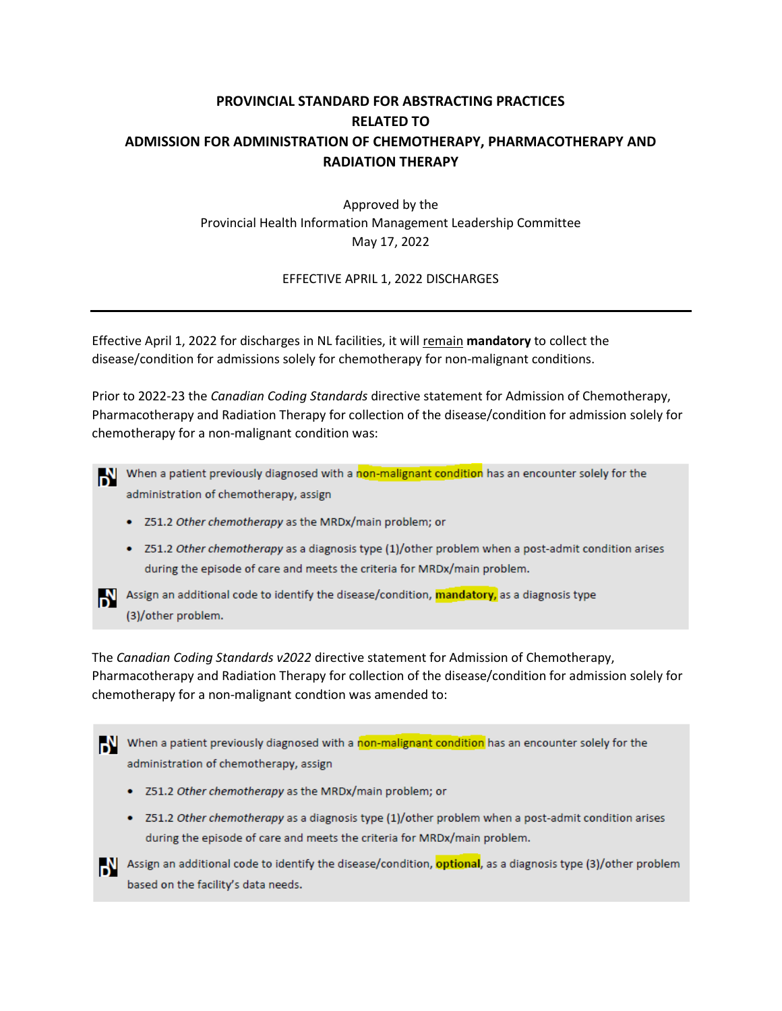## **PROVINCIAL STANDARD FOR ABSTRACTING PRACTICES RELATED TO ADMISSION FOR ADMINISTRATION OF CHEMOTHERAPY, PHARMACOTHERAPY AND RADIATION THERAPY**

Approved by the Provincial Health Information Management Leadership Committee May 17, 2022

EFFECTIVE APRIL 1, 2022 DISCHARGES

Effective April 1, 2022 for discharges in NL facilities, it will remain **mandatory** to collect the disease/condition for admissions solely for chemotherapy for non-malignant conditions.

Prior to 2022-23 the *Canadian Coding Standards* directive statement for Admission of Chemotherapy, Pharmacotherapy and Radiation Therapy for collection of the disease/condition for admission solely for chemotherapy for a non-malignant condition was:

When a patient previously diagnosed with a non-malignant condition has an encounter solely for the administration of chemotherapy, assign

- Z51.2 Other chemotherapy as the MRDx/main problem; or
- Z51.2 Other chemotherapy as a diagnosis type (1)/other problem when a post-admit condition arises during the episode of care and meets the criteria for MRDx/main problem.



Assign an additional code to identify the disease/condition, mandatory, as a diagnosis type (3)/other problem.

The *Canadian Coding Standards v2022* directive statement for Admission of Chemotherapy, Pharmacotherapy and Radiation Therapy for collection of the disease/condition for admission solely for chemotherapy for a non-malignant condtion was amended to:



- Z51.2 Other chemotherapy as the MRDx/main problem; or
- Z51.2 Other chemotherapy as a diagnosis type (1)/other problem when a post-admit condition arises during the episode of care and meets the criteria for MRDx/main problem.

Assign an additional code to identify the disease/condition, **optional**, as a diagnosis type (3)/other problem based on the facility's data needs.